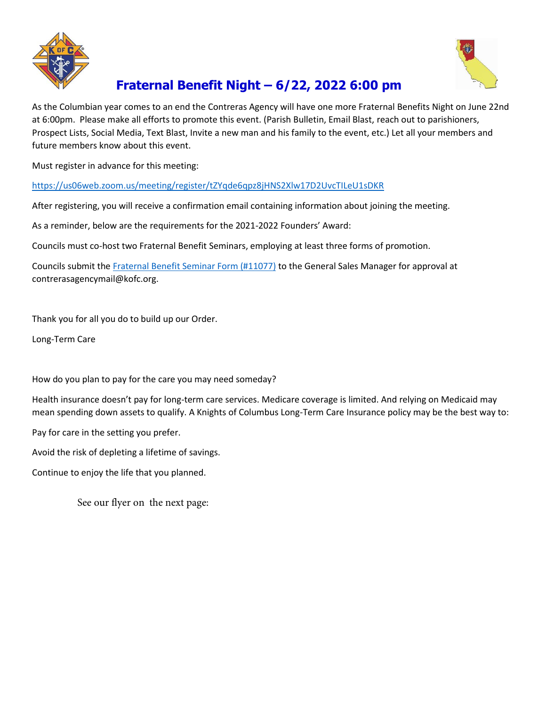



## **Fraternal Benefit Night – 6/22, 2022 6:00 pm**

As the Columbian year comes to an end the Contreras Agency will have one more Fraternal Benefits Night on June 22nd at 6:00pm. Please make all efforts to promote this event. (Parish Bulletin, Email Blast, reach out to parishioners, Prospect Lists, Social Media, Text Blast, Invite a new man and his family to the event, etc.) Let all your members and future members know about this event.

Must register in advance for this meeting:

<https://us06web.zoom.us/meeting/register/tZYqde6qpz8jHNS2Xlw17D2UvcTILeU1sDKR>

After registering, you will receive a confirmation email containing information about joining the meeting.

As a reminder, below are the requirements for the 2021-2022 Founders' Award:

Councils must co-host two Fraternal Benefit Seminars, employing at least three forms of promotion.

Councils submit th[e Fraternal Benefit Seminar Form \(#11077\)](https://kofcchap6ca.org/wp-content/Forms/Fraternal%20Benefit%20Form.pdf) to the General Sales Manager for approval at contrerasagencymail@kofc.org.

Thank you for all you do to build up our Order.

Long-Term Care

How do you plan to pay for the care you may need someday?

Health insurance doesn't pay for long-term care services. Medicare coverage is limited. And relying on Medicaid may mean spending down assets to qualify. A Knights of Columbus Long-Term Care Insurance policy may be the best way to:

Pay for care in the setting you prefer.

Avoid the risk of depleting a lifetime of savings.

Continue to enjoy the life that you planned.

See our flyer on the next page: